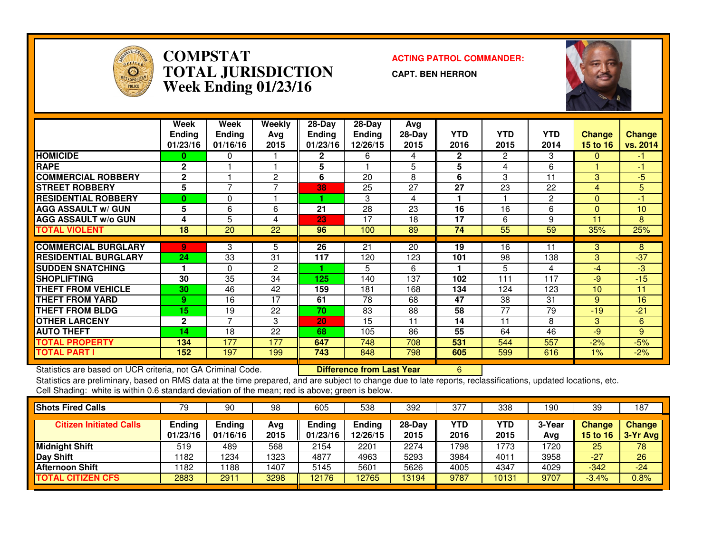

## **COMPSTAT ACTING PATROL COMMANDER: TOTAL JURISDICTIONWeek Ending 01/23/16**

**CAPT. BEN HERRON**



|                             | Week<br><b>Ending</b><br>01/23/16 | Week<br><b>Ending</b><br>01/16/16 | Weekly<br>Avg<br>2015 | $28-Day$<br><b>Ending</b><br>01/23/16 | $28-Day$<br><b>Ending</b><br>12/26/15 | Avg<br>28-Day<br>2015 | <b>YTD</b><br>2016 | <b>YTD</b><br>2015 | <b>YTD</b><br>2014 | <b>Change</b><br>15 to 16 | <b>Change</b><br>vs. 2014 |
|-----------------------------|-----------------------------------|-----------------------------------|-----------------------|---------------------------------------|---------------------------------------|-----------------------|--------------------|--------------------|--------------------|---------------------------|---------------------------|
| <b>HOMICIDE</b>             | 0                                 | 0                                 |                       | 2.                                    | 6                                     | 4                     | $\mathbf{2}$       | 2                  | 3                  | 0                         | -1.                       |
| <b>RAPE</b>                 | $\mathbf{2}$                      |                                   |                       | 5                                     |                                       | 5                     | 5                  | 4                  | 6                  |                           | -1                        |
| <b>COMMERCIAL ROBBERY</b>   | $\mathbf{2}$                      |                                   | 2                     | 6                                     | 20                                    | 8                     | 6                  | 3                  | 11                 | 3                         | -5                        |
| <b>STREET ROBBERY</b>       | 5                                 | $\overline{ }$                    |                       | 38                                    | 25                                    | 27                    | 27                 | 23                 | 22                 | 4                         | 5                         |
| <b>RESIDENTIAL ROBBERY</b>  | $\mathbf{0}$                      | 0                                 |                       |                                       | 3                                     | 4                     |                    |                    | 2                  | $\Omega$                  | -1                        |
| <b>AGG ASSAULT w/ GUN</b>   | 5                                 | 6                                 | 6                     | 21                                    | 28                                    | 23                    | 16                 | 16                 | 6                  | $\Omega$                  | 10                        |
| <b>AGG ASSAULT w/o GUN</b>  | 4                                 | 5                                 | 4                     | 23                                    | 17                                    | 18                    | 17                 | 6                  | 9                  | 11                        | 8                         |
| TOTAL VIOLENT               | 18                                | 20                                | 22                    | 96                                    | 100                                   | 89                    | 74                 | 55                 | 59                 | 35%                       | 25%                       |
|                             |                                   |                                   |                       |                                       |                                       |                       |                    |                    |                    |                           |                           |
| <b>COMMERCIAL BURGLARY</b>  | 9                                 | 3                                 | 5                     | 26                                    | 21                                    | 20                    | 19                 | 16                 | 11                 | 3                         | 8                         |
| <b>RESIDENTIAL BURGLARY</b> | 24                                | 33                                | 31                    | 117                                   | 120                                   | 123                   | 101                | 98                 | 138                | 3                         | $-37$                     |
| <b>SUDDEN SNATCHING</b>     |                                   | $\Omega$                          | 2                     |                                       | 5                                     | 6                     |                    | 5                  | 4                  | -4                        | -3                        |
| <b>SHOPLIFTING</b>          | 30                                | 35                                | 34                    | 125                                   | 140                                   | 137                   | 102                | 111                | 117                | -9                        | $-15$                     |
| THEFT FROM VEHICLE          | 30                                | 46                                | 42                    | 159                                   | 181                                   | 168                   | 134                | 124                | 123                | 10                        | 11                        |
| <b>THEFT FROM YARD</b>      | 9                                 | 16                                | 17                    | 61                                    | 78                                    | 68                    | 47                 | 38                 | 31                 | 9                         | 16                        |
| <b>THEFT FROM BLDG</b>      | 15                                | 19                                | 22                    | 70                                    | 83                                    | 88                    | 58                 | 77                 | 79                 | $-19$                     | $-21$                     |
| <b>OTHER LARCENY</b>        | $\mathbf{2}$                      | $\overline{\phantom{a}}$          | 3                     | 20                                    | 15                                    | 11                    | 14                 | 11                 | 8                  | 3                         | 6                         |
| <b>AUTO THEFT</b>           | 14                                | 18                                | 22                    | 68                                    | 105                                   | 86                    | 55                 | 64                 | 46                 | -9                        | 9                         |
| <b>TOTAL PROPERTY</b>       | 134                               | 177                               | 177                   | 647                                   | 748                                   | 708                   | 531                | 544                | 557                | $-2%$                     | $-5%$                     |
| <b>TOTAL PART I</b>         | 152                               | 197                               | 199                   | 743                                   | 848                                   | 798                   | 605                | 599                | 616                | $1\%$                     | $-2%$                     |

Statistics are based on UCR criteria, not GA Criminal Code. **Difference from Last Year** 

Statistics are based on UCR criteria, not GA Criminal Code. **Interprie to Difference from Last Year** Mostang Di<br>Statistics are preliminary, based on RMS data at the time prepared, and are subject to change due to late repo Cell Shading: white is within 0.6 standard deviation of the mean; red is above; green is below.

| <b>Shots Fired Calls</b>       | 79                 | 90                        | 98          | 605                | 538                       | 392              | 377         | 338                | 90 ا          | 39                        | 187                         |
|--------------------------------|--------------------|---------------------------|-------------|--------------------|---------------------------|------------------|-------------|--------------------|---------------|---------------------------|-----------------------------|
| <b>Citizen Initiated Calls</b> | Ending<br>01/23/16 | <b>Ending</b><br>01/16/16 | Avg<br>2015 | Ending<br>01/23/16 | <b>Ending</b><br>12/26/15 | $28-Day$<br>2015 | YTD<br>2016 | <b>YTD</b><br>2015 | 3-Year<br>Avg | <b>Change</b><br>15 to 16 | <b>Change</b><br>$3-Yr$ Avg |
| <b>Midnight Shift</b>          | 519                | 489                       | 568         | 2154               | 2201                      | 2274             | 1798        | 1773               | 1720          | 25                        | 78                          |
| Day Shift                      | 1182               | 234                       | 1323        | 4877               | 4963                      | 5293             | 3984        | 4011               | 3958          | $-27$                     | 26                          |
| <b>Afternoon Shift</b>         | 1182               | 188                       | 1407        | 5145               | 5601                      | 5626             | 4005        | 4347               | 4029          | $-342$                    | $-24$                       |
| <b>TOTAL CITIZEN CFS</b>       | 2883               | 291                       | 3298        | 12176              | 2765                      | 13194            | 9787        | 10131              | 9707          | $-3.4%$                   | 0.8%                        |
|                                |                    |                           |             |                    |                           |                  |             |                    |               |                           |                             |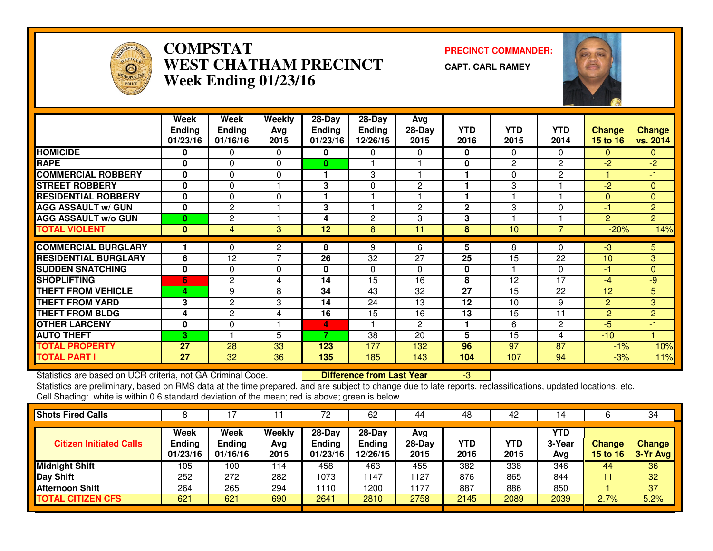

## **COMPSTAT PRECINCT COMMANDER: WEST CHATHAM PRECINCTWeek Ending 01/23/16**

**CAPT. CARL RAMEY**



|                             | Week          | Week           | <b>Weekly</b>  | 28-Day          | $28 - Day$   | Avg            |              |              |                |                |                |
|-----------------------------|---------------|----------------|----------------|-----------------|--------------|----------------|--------------|--------------|----------------|----------------|----------------|
|                             | <b>Ending</b> | Ending         | Avg            | <b>Ending</b>   | Ending       | $28-Day$       | <b>YTD</b>   | <b>YTD</b>   | <b>YTD</b>     | <b>Change</b>  | <b>Change</b>  |
|                             | 01/23/16      | 01/16/16       | 2015           | 01/23/16        | 12/26/15     | 2015           | 2016         | 2015         | 2014           | 15 to 16       | vs. 2014       |
| <b>HOMICIDE</b>             | 0             | 0              | $\Omega$       | 0               | 0            | 0              | $\mathbf 0$  | $\Omega$     | $\Omega$       | $\mathbf{0}$   | $\mathbf{0}$   |
| <b>RAPE</b>                 | 0             | 0              | $\Omega$       | 0               |              |                | $\mathbf{0}$ | $\mathbf{2}$ | $\mathbf{2}$   | $-2$           | $-2$           |
| <b>COMMERCIAL ROBBERY</b>   | 0             | 0              | $\Omega$       | 1               | 3            |                |              | 0            | 2              |                | $-1$           |
| <b>STREET ROBBERY</b>       | $\bf{0}$      | $\Omega$       |                | 3               | 0            | 2              |              | 3            |                | $-2$           | $\Omega$       |
| <b>RESIDENTIAL ROBBERY</b>  | $\mathbf 0$   | $\Omega$       | $\Omega$       | 1               | -1           |                |              |              |                | $\Omega$       | $\mathbf{0}$   |
| <b>AGG ASSAULT w/ GUN</b>   | 0             | $\overline{c}$ |                | 3               |              | 2              | $\mathbf{2}$ | 3            | 0              | $-1$           | $\overline{2}$ |
| <b>AGG ASSAULT w/o GUN</b>  | $\bf{0}$      | 2              | 1              | 4               | $\mathbf{2}$ | 3              | 3            |              |                | $\overline{2}$ | $\overline{2}$ |
| <b>TOTAL VIOLENT</b>        | $\mathbf{0}$  | 4              | 3              | $\overline{12}$ | 8            | 11             | 8            | 10           | $\overline{7}$ | $-20%$         | 14%            |
| <b>COMMERCIAL BURGLARY</b>  |               | 0              | 2              | 8               | 9            | 6              | 5            | 8            | 0              | -3             | 5.             |
| <b>RESIDENTIAL BURGLARY</b> | 6             | 12             | $\overline{7}$ | 26              | 32           | 27             | 25           | 15           | 22             | 10             | $\overline{3}$ |
| <b>SUDDEN SNATCHING</b>     | $\mathbf 0$   | $\Omega$       | $\Omega$       | 0               | $\Omega$     | 0              | $\mathbf{0}$ |              | $\Omega$       | $-1$           | $\Omega$       |
| <b>SHOPLIFTING</b>          | 6             | $\overline{c}$ | 4              | 14              | 15           | 16             | 8            | 12           | 17             | $-4$           | -9             |
| <b>THEFT FROM VEHICLE</b>   | 4             | 9              | 8              | 34              | 43           | 32             | 27           | 15           | 22             | 12             | 5              |
| <b>THEFT FROM YARD</b>      | 3             | $\mathbf{2}$   | 3              | 14              | 24           | 13             | 12           | 10           | 9              | $\overline{2}$ | 3              |
| <b>THEFT FROM BLDG</b>      | 4             | $\mathbf{2}$   | 4              | 16              | 15           | 16             | 13           | 15           | 11             | $-2$           | $\overline{2}$ |
| <b>OTHER LARCENY</b>        | $\mathbf 0$   | 0              |                | 4               |              | $\overline{2}$ |              | 6            | 2              | $-5$           | -1             |
| <b>AUTO THEFT</b>           | 3             |                | 5              | ∍.              | 38           | 20             | 5            | 15           | 4              | $-10$          |                |
| <b>TOTAL PROPERTY</b>       | 27            | 28             | 33             | 123             | 177          | 132            | 96           | 97           | 87             | $-1%$          | 10%            |
| <b>TOTAL PART I</b>         | 27            | 32             | 36             | 135             | 185          | 143            | 104          | 107          | 94             | $-3%$          | 11%            |

Statistics are based on UCR criteria, not GA Criminal Code. **Difference from Last Year** 

Statistics are based on UCR criteria, not GA Criminal Code. **Difference from Last Year Schoff Particle (199** - 3<br>Statistics are preliminary, based on RMS data at the time prepared, and are subject to change due to late rep Cell Shading: white is within 0.6 standard deviation of the mean; red is above; green is below.

| <b>Shots Fired Calls</b>       |                                   |                                   |                       |                                     | 62                                    | 44                      | 48          | 42          |                             |                                  | 34                        |
|--------------------------------|-----------------------------------|-----------------------------------|-----------------------|-------------------------------------|---------------------------------------|-------------------------|-------------|-------------|-----------------------------|----------------------------------|---------------------------|
| <b>Citizen Initiated Calls</b> | Week<br><b>Ending</b><br>01/23/16 | Week<br><b>Ending</b><br>01/16/16 | Weekly<br>Avg<br>2015 | 28-Day<br><b>Ending</b><br>01/23/16 | $28-Dav$<br><b>Ending</b><br>12/26/15 | Avg<br>$28-Day$<br>2015 | YTD<br>2016 | YTD<br>2015 | <b>YTD</b><br>3-Year<br>Avg | <b>Change</b><br><b>15 to 16</b> | <b>Change</b><br>3-Yr Avg |
| <b>Midnight Shift</b>          | 105                               | 100                               | 114                   | 458                                 | 463                                   | 455                     | 382         | 338         | 346                         | 44                               | 36                        |
| <b>Day Shift</b>               | 252                               | 272                               | 282                   | 1073                                | 1147                                  | 1127                    | 876         | 865         | 844                         |                                  | 32                        |
| <b>Afternoon Shift</b>         | 264                               | 265                               | 294                   | 1110                                | 200                                   | 1177                    | 887         | 886         | 850                         |                                  | 37                        |
| <b>TOTAL CITIZEN CFS</b>       | 621                               | 621                               | 690                   | 2641                                | 2810                                  | 2758                    | 2145        | 2089        | 2039                        | 2.7%                             | 5.2%                      |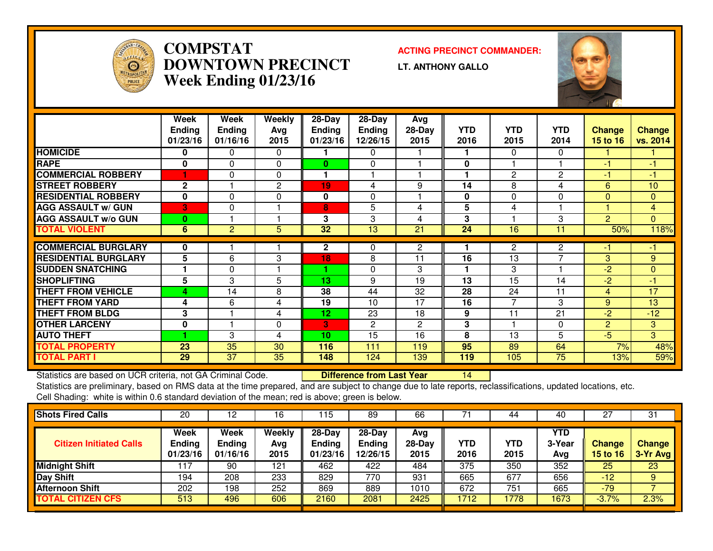

#### **COMPSTAT ACTING PRECINCT COMMANDER: DOWNTOWN PRECINCTWeek Ending 01/23/16**

**LT. ANTHONY GALLO**



|                             | Week<br><b>Ending</b><br>01/23/16 | Week<br><b>Ending</b><br>01/16/16 | Weekly<br>Avg<br>2015 | 28-Day<br><b>Ending</b><br>01/23/16 | 28-Day<br><b>Ending</b><br>12/26/15 | Avg<br>$28-Day$<br>2015 | <b>YTD</b><br>2016 | <b>YTD</b><br>2015 | <b>YTD</b><br>2014 | <b>Change</b><br>15 to 16 | Change<br>vs. 2014 |
|-----------------------------|-----------------------------------|-----------------------------------|-----------------------|-------------------------------------|-------------------------------------|-------------------------|--------------------|--------------------|--------------------|---------------------------|--------------------|
| <b>HOMICIDE</b>             | 0                                 | 0                                 | 0                     |                                     | $\Omega$                            |                         |                    | $\Omega$           | 0                  |                           |                    |
| <b>RAPE</b>                 | 0                                 | $\Omega$                          | $\Omega$              | $\mathbf{0}$                        | $\Omega$                            |                         | 0                  |                    |                    | -1                        | $-1$               |
| <b>COMMERCIAL ROBBERY</b>   |                                   | $\Omega$                          | $\Omega$              | 1                                   |                                     |                         |                    | $\overline{2}$     | $\mathbf{2}$       | $-1$                      | -1                 |
| <b>STREET ROBBERY</b>       | $\mathbf 2$                       |                                   | $\mathbf{2}$          | 19                                  | 4                                   | 9                       | 14                 | 8                  | 4                  | 6                         | 10                 |
| <b>RESIDENTIAL ROBBERY</b>  | $\bf{0}$                          | $\mathbf 0$                       | 0                     | 0                                   | $\Omega$                            |                         | 0                  | $\mathbf 0$        | 0                  | $\Omega$                  | $\mathbf{0}$       |
| <b>AGG ASSAULT W/ GUN</b>   | 3                                 | $\Omega$                          |                       | 8                                   | 5                                   | 4                       | 5                  | 4                  |                    |                           | $\overline{4}$     |
| <b>AGG ASSAULT w/o GUN</b>  | $\bf{0}$                          |                                   |                       | 3                                   | 3                                   | 4                       | 3                  |                    | 3                  | $\overline{2}$            | $\Omega$           |
| <b>TOTAL VIOLENT</b>        | 6                                 | 2                                 | 5                     | 32                                  | 13                                  | 21                      | 24                 | 16                 | 11                 | 50%                       | 118%               |
|                             |                                   |                                   |                       |                                     |                                     |                         |                    |                    |                    |                           |                    |
| <b>COMMERCIAL BURGLARY</b>  | 0                                 |                                   |                       | $\mathbf 2$                         | $\Omega$                            | $\mathbf{2}$            |                    | $\overline{2}$     | $\overline{2}$     | -1                        | -1                 |
| <b>RESIDENTIAL BURGLARY</b> | 5                                 | 6                                 | 3                     | 18                                  | 8                                   | 11                      | 16                 | 13                 | $\overline{7}$     | 3                         | 9                  |
| <b>SUDDEN SNATCHING</b>     |                                   | $\Omega$                          |                       | 4                                   | $\Omega$                            | 3                       |                    | 3                  |                    | $-2$                      | $\mathbf{0}$       |
| <b>SHOPLIFTING</b>          | 5                                 | 3                                 | 5                     | 13                                  | 9                                   | 19                      | 13                 | 15                 | 14                 | $-2$                      | $-1$               |
| <b>THEFT FROM VEHICLE</b>   | 4                                 | 14                                | 8                     | 38                                  | 44                                  | 32                      | 28                 | 24                 | 11                 | $\overline{4}$            | 17                 |
| <b>THEFT FROM YARD</b>      | 4                                 | 6                                 | 4                     | 19                                  | 10                                  | 17                      | 16                 | 7                  | 3                  | 9                         | 13                 |
| <b>THEFT FROM BLDG</b>      | 3                                 |                                   | 4                     | 12                                  | 23                                  | 18                      | 9                  | 11                 | 21                 | $-2$                      | $-12$              |
| <b>OTHER LARCENY</b>        | 0                                 |                                   | 0                     | 3                                   | $\mathbf{2}$                        | $\overline{2}$          | 3                  |                    | $\Omega$           | $\overline{2}$            | 3                  |
| <b>AUTO THEFT</b>           | ۴                                 | 3                                 | 4                     | 10                                  | 15                                  | 16                      | 8                  | 13                 | 5                  | $-5$                      | 3                  |
| <b>TOTAL PROPERTY</b>       | 23                                | 35                                | 30                    | 116                                 | 111                                 | 119                     | 95                 | 89                 | 64                 | 7%                        | 48%                |
| <b>TOTAL PART I</b>         | 29                                | $\overline{37}$                   | 35                    | 148                                 | 124                                 | 139                     | 119                | 105                | $\overline{75}$    | 13%                       | 59%                |

Statistics are based on UCR criteria, not GA Criminal Code. **Difference from Last Year** 

Statistics are based on UCR criteria, not GA Criminal Code. **Difference from Last Year 14 Primic Primic 14 Co**ttons, updated locations, etc.<br>Statistics are preliminary, based on RMS data at the time prepared, and are subje Cell Shading: white is within 0.6 standard deviation of the mean; red is above; green is below.

| 20                                | 12                                       | 16                    | 15،                                   | 89                             | 66                    |             | 44                 | -40                         | 27                               | 31                        |
|-----------------------------------|------------------------------------------|-----------------------|---------------------------------------|--------------------------------|-----------------------|-------------|--------------------|-----------------------------|----------------------------------|---------------------------|
| Week<br><b>Ending</b><br>01/23/16 | <b>Week</b><br><b>Ending</b><br>01/16/16 | Weekly<br>Avg<br>2015 | $28-Day$<br><b>Ending</b><br>01/23/16 | $28-Day$<br>Ending<br>12/26/15 | Avg<br>28-Day<br>2015 | YTD<br>2016 | <b>YTD</b><br>2015 | <b>YTD</b><br>3-Year<br>Avg | <b>Change</b><br><b>15 to 16</b> | <b>Change</b><br>3-Yr Avg |
| 117                               | 90                                       | 121                   | 462                                   | 422                            | 484                   | 375         | 350                | 352                         | 25                               | 23                        |
| 194                               | 208                                      | 233                   | 829                                   | 770                            | 931                   | 665         | 677                | 656                         | $-12$                            | 9                         |
| 202                               | 198                                      | 252                   | 869                                   | 889                            | 1010                  | 672         | 751                | 665                         | -79                              |                           |
| 513                               | 496                                      | 606                   | 2160                                  | 2081                           | 2425                  | 1712        | 1778               | 1673                        | $-3.7%$                          | 2.3%                      |
|                                   |                                          |                       |                                       |                                |                       |             |                    |                             |                                  |                           |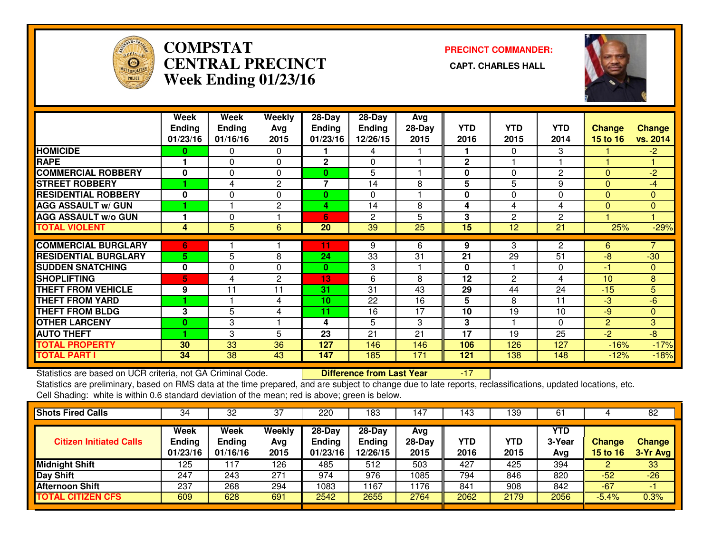

# **COMPSTAT PRECINCT COMMANDER: CENTRAL PRECINCT CAPT. CHARLES HALLWeek Ending 01/23/16**



|                             | Week           | Week          | Weekly         | 28-Day          | 28-Day        | Avg             |              |                 |                 |                 |                 |
|-----------------------------|----------------|---------------|----------------|-----------------|---------------|-----------------|--------------|-----------------|-----------------|-----------------|-----------------|
|                             | <b>Ending</b>  | <b>Ending</b> | Avg            | <b>Ending</b>   | <b>Ending</b> | $28-Day$        | <b>YTD</b>   | <b>YTD</b>      | <b>YTD</b>      | Change          | <b>Change</b>   |
|                             | 01/23/16       | 01/16/16      | 2015           | 01/23/16        | 12/26/15      | 2015            | 2016         | 2015            | 2014            | <b>15 to 16</b> | vs. 2014        |
| <b>HOMICIDE</b>             | 0              | 0             | $\Omega$       |                 | 4             |                 |              | 0               | 3               |                 | $-2$            |
| <b>RAPE</b>                 |                | 0             | 0              | $\mathbf{2}$    | 0             |                 | $\mathbf{2}$ |                 |                 |                 |                 |
| <b>COMMERCIAL ROBBERY</b>   | $\mathbf{0}$   | 0             | $\Omega$       | $\bf{0}$        | 5             |                 | $\bf{0}$     | $\Omega$        | $\overline{c}$  | $\Omega$        | $-2$            |
| <b>STREET ROBBERY</b>       |                | 4             | 2              | $\overline{7}$  | 14            | 8               | 5            | 5               | 9               | $\Omega$        | $-4$            |
| <b>RESIDENTIAL ROBBERY</b>  | 0              | 0             | $\Omega$       | 0               | $\Omega$      |                 | $\bf{0}$     | 0               | $\Omega$        | $\Omega$        | $\mathbf{0}$    |
| <b>AGG ASSAULT w/ GUN</b>   |                |               | 2              | 4               | 14            | 8               | 4            | 4               | 4               | $\Omega$        | $\mathbf{0}$    |
| <b>AGG ASSAULT w/o GUN</b>  |                | 0             |                | 6               | $\mathbf{c}$  | 5               | 3            | 2               | $\overline{c}$  |                 |                 |
| <b>TOTAL VIOLENT</b>        | 4              | 5             | 6              | 20              | 39            | $\overline{25}$ | 15           | $\overline{12}$ | $\overline{21}$ | 25%             | $-29%$          |
| <b>COMMERCIAL BURGLARY</b>  | 6              |               |                | 11              | 9             | 6               | 9            | 3               | 2               | 6.              |                 |
| <b>RESIDENTIAL BURGLARY</b> | 5 <sup>1</sup> | 5             | 8              | 24              | 33            | 31              | 21           | 29              | 51              | $-8$            | $-30$           |
| <b>SUDDEN SNATCHING</b>     | $\bf{0}$       | $\Omega$      | $\Omega$       | $\mathbf{0}$    | 3             |                 | $\bf{0}$     |                 | $\Omega$        | -1              | $\mathbf{0}$    |
| <b>SHOPLIFTING</b>          | 5              | 4             | $\overline{2}$ | 13              | 6             | 8               | 12           | 2               | 4               | 10              | 8               |
| <b>THEFT FROM VEHICLE</b>   | 9              | 11            | 11             | 31              | 31            | 43              | 29           | 44              | 24              | $-15$           | 5               |
| <b>THEFT FROM YARD</b>      |                |               | 4              | 10              | 22            | 16              | 5            | 8               | 11              | $-3$            | $-6$            |
| <b>THEFT FROM BLDG</b>      | 3              | 5             | 4              | 11              | 16            | 17              | 10           | 19              | 10              | $-9$            | $\mathbf{0}$    |
| <b>OTHER LARCENY</b>        | $\bf{0}$       | 3             |                | 4               | 5             | 3               | 3            |                 | $\Omega$        | $\overline{2}$  | 3               |
| <b>AUTO THEFT</b>           |                | 3             | 5              | $\overline{23}$ | 21            | 21              | 17           | 19              | 25              | $-2$            | $\overline{-8}$ |
| <b>TOTAL PROPERTY</b>       | 30             | 33            | 36             | 127             | 146           | 146             | 106          | 126             | 127             | $-16%$          | $-17%$          |
| <b>TOTAL PART I</b>         | 34             | 38            | 43             | 147             | 185           | 171             | 121          | 138             | 148             | $-12%$          | $-18%$          |

Statistics are based on UCR criteria, not GA Criminal Code. **Difference from Last Year** Statistics are based on UCR criteria, not GA Criminal Code. **Difference from Last Year 17 Conc**tassifications, updated locations, etc.<br>Statistics are preliminary, based on RMS data at the time prepared, and are subject to Cell Shading: white is within 0.6 standard deviation of the mean; red is above; green is below.

| <b>Shots Fired Calls</b>       | 34                                | 32                                | 37                    | 220                                 | 183                                     | 4                       | 143         | 139         | 61                   |                    | 82                        |
|--------------------------------|-----------------------------------|-----------------------------------|-----------------------|-------------------------------------|-----------------------------------------|-------------------------|-------------|-------------|----------------------|--------------------|---------------------------|
| <b>Citizen Initiated Calls</b> | Week<br><b>Ending</b><br>01/23/16 | Week<br><b>Ending</b><br>01/16/16 | Weekly<br>Avg<br>2015 | 28-Day<br><b>Ending</b><br>01/23/16 | $28 - Day$<br><b>Ending</b><br>12/26/15 | Avg<br>$28-Day$<br>2015 | YTD<br>2016 | YTD<br>2015 | YTD<br>3-Year<br>Avg | Change<br>15 to 16 | <b>Change</b><br>3-Yr Avg |
| <b>Midnight Shift</b>          | 125                               | 17                                | 126                   | 485                                 | 512                                     | 503                     | 427         | 425         | 394                  | ∠                  | 33                        |
| Day Shift                      | 247                               | 243                               | 271                   | 974                                 | 976                                     | 1085                    | 794         | 846         | 820                  | $-52$              | $-26$                     |
| <b>Afternoon Shift</b>         | 237                               | 268                               | 294                   | 1083                                | 167                                     | 1176                    | 841         | 908         | 842                  | $-67$              | - 1                       |
| <b>TOTAL CITIZEN CFS</b>       | 609                               | 628                               | 691                   | 2542                                | 2655                                    | 2764                    | 2062        | 2179        | 2056                 | $-5.4%$            | 0.3%                      |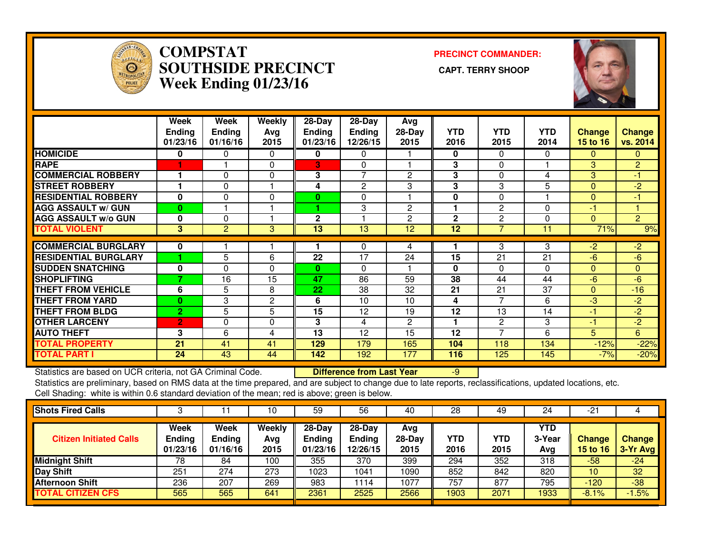

#### **COMPSTAT PRECINCT COMMANDER: SOUTHSIDE PRECINCT CAPT. TERRY SHOOPWeek Ending 01/23/16**



|                             | Week<br><b>Ending</b><br>01/23/16 | Week<br><b>Ending</b><br>01/16/16 | Weekly<br>Avg<br>2015 | $28-Day$<br><b>Ending</b><br>01/23/16 | $28-Day$<br><b>Ending</b><br>12/26/15 | Avg<br>28-Day<br>2015 | <b>YTD</b><br>2016 | <b>YTD</b><br>2015 | <b>YTD</b><br>2014 | <b>Change</b><br><b>15 to 16</b> | Change<br>vs. 2014 |
|-----------------------------|-----------------------------------|-----------------------------------|-----------------------|---------------------------------------|---------------------------------------|-----------------------|--------------------|--------------------|--------------------|----------------------------------|--------------------|
| <b>HOMICIDE</b>             | 0                                 | 0                                 | 0                     | 0                                     | 0                                     |                       | 0                  | $\Omega$           | 0                  | 0                                | 0.                 |
| <b>RAPE</b>                 |                                   |                                   | 0                     | 3                                     | 0                                     |                       | 3                  | $\Omega$           |                    | 3                                | $\overline{2}$     |
| <b>COMMERCIAL ROBBERY</b>   |                                   | 0                                 | 0                     | 3                                     | 7                                     | $\overline{2}$        | 3                  | $\Omega$           | 4                  | 3                                | -1                 |
| <b>STREET ROBBERY</b>       |                                   | 0                                 |                       | 4                                     | 2                                     | 3                     | 3                  | 3                  | 5                  | $\Omega$                         | $-2$               |
| <b>RESIDENTIAL ROBBERY</b>  | $\bf{0}$                          | $\Omega$                          | 0                     | 0                                     | $\Omega$                              |                       | 0                  | $\Omega$           |                    | $\Omega$                         | -1                 |
| <b>AGG ASSAULT w/ GUN</b>   | $\bf{0}$                          |                                   |                       |                                       | 3                                     | $\mathbf{2}$          |                    | 2                  | 0                  | -1                               |                    |
| <b>AGG ASSAULT w/o GUN</b>  | 0                                 | $\Omega$                          |                       | $\overline{2}$                        |                                       | $\overline{2}$        | $\mathbf{2}$       | $\overline{2}$     | 0                  | $\Omega$                         | $\overline{2}$     |
| <b>TOTAL VIOLENT</b>        | 3                                 | $\overline{2}$                    | 3                     | 13                                    | 13                                    | 12                    | 12                 |                    | 11                 | 71%                              | 9%                 |
| <b>COMMERCIAL BURGLARY</b>  | 0                                 |                                   |                       |                                       | $\Omega$                              | 4                     |                    | 3                  | 3                  | $-2$                             | $-2$               |
| <b>RESIDENTIAL BURGLARY</b> |                                   | 5                                 | 6                     | 22                                    | 17                                    | 24                    | 15                 | 21                 | 21                 | $-6$                             | $-6$               |
| <b>SUDDEN SNATCHING</b>     | $\bf{0}$                          | $\Omega$                          | 0                     | $\bf{0}$                              | $\Omega$                              |                       | $\bf{0}$           | $\Omega$           | 0                  | $\Omega$                         | 0                  |
| <b>SHOPLIFTING</b>          | ۰,                                | 16                                | 15                    | 47                                    | 86                                    | 59                    | 38                 | 44                 | 44                 | $-6$                             | $-6$               |
| <b>THEFT FROM VEHICLE</b>   | 6                                 | 5                                 | 8                     | 22                                    | 38                                    | 32                    | 21                 | 21                 | 37                 | $\Omega$                         | $-16$              |
| <b>THEFT FROM YARD</b>      | $\bf{0}$                          | 3                                 | $\overline{2}$        | 6                                     | 10                                    | 10                    | 4                  |                    | 6                  | -3                               | $-2$               |
| <b>THEFT FROM BLDG</b>      | $\overline{2}$                    | 5                                 | 5                     | 15                                    | 12                                    | 19                    | 12                 | 13                 | 14                 | -1                               | $\overline{2}$     |
| <b>OTHER LARCENY</b>        | $\overline{2}$                    | 0                                 | 0                     | 3                                     | 4                                     | $\overline{2}$        | 4                  | 2                  | 3                  | $-1$                             | $\overline{2}$     |
| <b>AUTO THEFT</b>           | 3                                 | 6                                 | 4                     | 13                                    | 12                                    | 15                    | 12                 | $\overline{ }$     | 6                  | 5                                | 6                  |
| <b>TOTAL PROPERTY</b>       | 21                                | 41                                | 41                    | 129                                   | 179                                   | 165                   | 104                | 118                | 134                | $-12%$                           | $-22%$             |
| <b>TOTAL PART I</b>         | 24                                | 43                                | 44                    | 142                                   | 192                                   | 177                   | 116                | 125                | 145                | $-7%$                            | $-20%$             |

Statistics are based on UCR criteria, not GA Criminal Code. **Difference from Last Year** 

Statistics are based on UCR criteria, not GA Criminal Code. **Difference from Last Year Schoff Last** Yearn Mast Of<br>Statistics are preliminary, based on RMS data at the time prepared, and are subject to change due to late re Cell Shading: white is within 0.6 standard deviation of the mean; red is above; green is below.

|                            |                                   | 10                    | 59                                    | 56                                    | 40                      | 28                 | 49          | 24                   | -21                              |                              |
|----------------------------|-----------------------------------|-----------------------|---------------------------------------|---------------------------------------|-------------------------|--------------------|-------------|----------------------|----------------------------------|------------------------------|
| Week<br>Ending<br>01/23/16 | Week<br><b>Ending</b><br>01/16/16 | Weekly<br>Avg<br>2015 | $28-Dav$<br><b>Ending</b><br>01/23/16 | $28-Dav$<br><b>Ending</b><br>12/26/15 | Avg<br>$28-Day$<br>2015 | <b>YTD</b><br>2016 | YTD<br>2015 | YTD<br>3-Year<br>Avg | <b>Change</b><br><b>15 to 16</b> | <b>Change</b><br>$13-Yr$ Avg |
| 78                         | 84                                | 100                   | 355                                   | 370                                   | 399                     | 294                | 352         | 318                  | $-58$                            | $-24$                        |
| 251                        | 274                               | 273                   | 1023                                  | 1041                                  | 1090                    | 852                | 842         | 820                  | 10                               | 32                           |
| 236                        | 207                               | 269                   | 983                                   | 114                                   | 1077                    | 757                | 877         | 795                  | $-120$                           | $-38$                        |
| 565                        | 565                               | 641                   | 2361                                  | 2525                                  | 2566                    | 1903               | 2071        | 1933                 | $-8.1\%$                         | 1.5%                         |
|                            |                                   |                       |                                       |                                       |                         |                    |             |                      |                                  |                              |